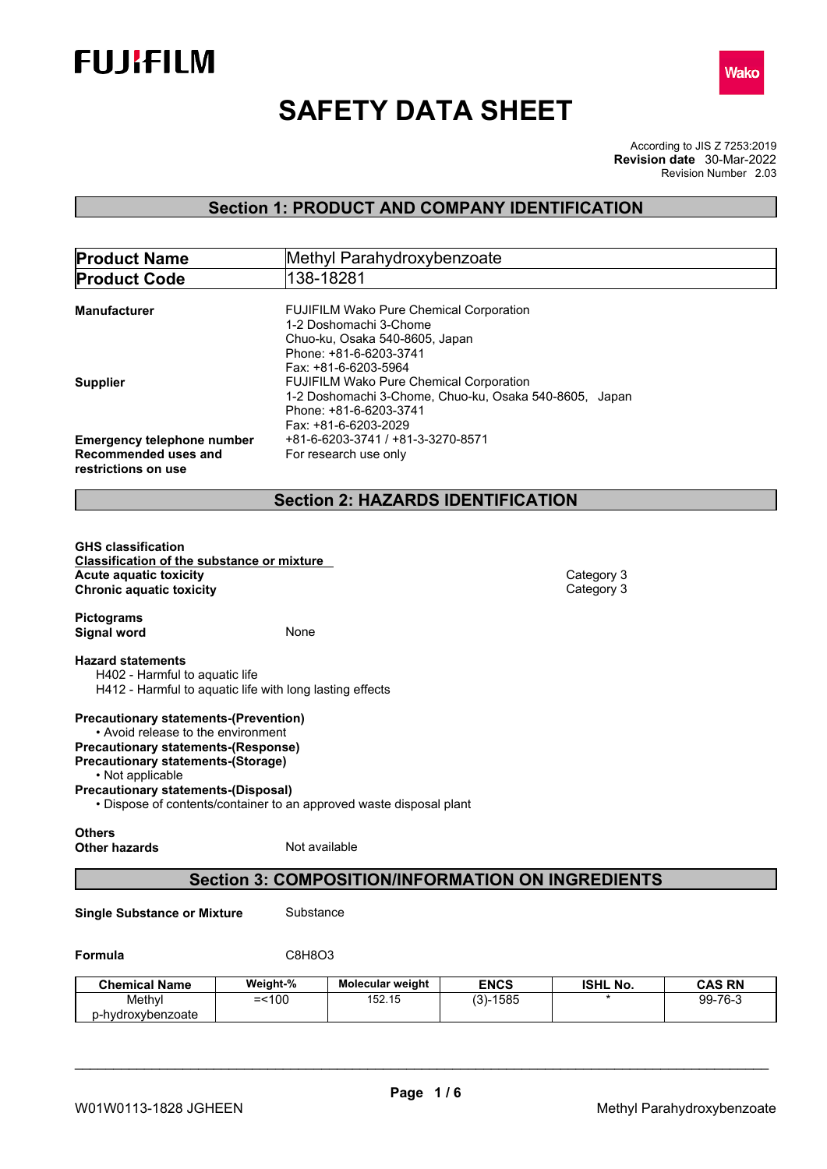



# **SAFETY DATA SHEET**

According to JIS Z 7253:2019 Revision Number 2.03 **Revision date** 30-Mar-2022

# **Section 1: PRODUCT AND COMPANY IDENTIFICATION**

| <b>Product Name</b>                                                                                                                                                                                                                                                                                                    |                                                          | Methyl Parahydroxybenzoate                                                                                                                            |             |                          |               |
|------------------------------------------------------------------------------------------------------------------------------------------------------------------------------------------------------------------------------------------------------------------------------------------------------------------------|----------------------------------------------------------|-------------------------------------------------------------------------------------------------------------------------------------------------------|-------------|--------------------------|---------------|
| <b>Product Code</b>                                                                                                                                                                                                                                                                                                    | 138-18281                                                |                                                                                                                                                       |             |                          |               |
| <b>Manufacturer</b>                                                                                                                                                                                                                                                                                                    |                                                          | FUJIFILM Wako Pure Chemical Corporation<br>1-2 Doshomachi 3-Chome<br>Chuo-ku, Osaka 540-8605, Japan<br>Phone: +81-6-6203-3741<br>Fax: +81-6-6203-5964 |             |                          |               |
| <b>Supplier</b>                                                                                                                                                                                                                                                                                                        |                                                          | FUJIFILM Wako Pure Chemical Corporation<br>1-2 Doshomachi 3-Chome, Chuo-ku, Osaka 540-8605, Japan<br>Phone: +81-6-6203-3741<br>Fax: +81-6-6203-2029   |             |                          |               |
| <b>Emergency telephone number</b><br>Recommended uses and<br>restrictions on use                                                                                                                                                                                                                                       |                                                          | +81-6-6203-3741 / +81-3-3270-8571<br>For research use only                                                                                            |             |                          |               |
|                                                                                                                                                                                                                                                                                                                        |                                                          | <b>Section 2: HAZARDS IDENTIFICATION</b>                                                                                                              |             |                          |               |
|                                                                                                                                                                                                                                                                                                                        |                                                          |                                                                                                                                                       |             |                          |               |
| <b>GHS classification</b><br><b>Classification of the substance or mixture</b><br><b>Acute aquatic toxicity</b><br><b>Chronic aquatic toxicity</b>                                                                                                                                                                     |                                                          |                                                                                                                                                       |             | Category 3<br>Category 3 |               |
| <b>Pictograms</b><br><b>Signal word</b>                                                                                                                                                                                                                                                                                | None                                                     |                                                                                                                                                       |             |                          |               |
| <b>Hazard statements</b><br>H402 - Harmful to aquatic life<br>H412 - Harmful to aquatic life with long lasting effects                                                                                                                                                                                                 |                                                          |                                                                                                                                                       |             |                          |               |
| <b>Precautionary statements-(Prevention)</b><br>• Avoid release to the environment<br><b>Precautionary statements-(Response)</b><br><b>Precautionary statements-(Storage)</b><br>• Not applicable<br><b>Precautionary statements-(Disposal)</b><br>• Dispose of contents/container to an approved waste disposal plant |                                                          |                                                                                                                                                       |             |                          |               |
| <b>Others</b><br><b>Other hazards</b>                                                                                                                                                                                                                                                                                  | Not available                                            |                                                                                                                                                       |             |                          |               |
|                                                                                                                                                                                                                                                                                                                        | <b>Section 3: COMPOSITION/INFORMATION ON INGREDIENTS</b> |                                                                                                                                                       |             |                          |               |
| <b>Single Substance or Mixture</b>                                                                                                                                                                                                                                                                                     | Substance                                                |                                                                                                                                                       |             |                          |               |
| Formula                                                                                                                                                                                                                                                                                                                | C8H8O3                                                   |                                                                                                                                                       |             |                          |               |
| <b>Chemical Name</b>                                                                                                                                                                                                                                                                                                   | Weight-%                                                 | Molecular weight                                                                                                                                      | <b>ENCS</b> | <b>ISHL No.</b>          | <b>CAS RN</b> |
| Methyl<br>p-hydroxybenzoate                                                                                                                                                                                                                                                                                            | $= < 100$                                                | 152.15                                                                                                                                                | $(3)-1585$  |                          | 99-76-3       |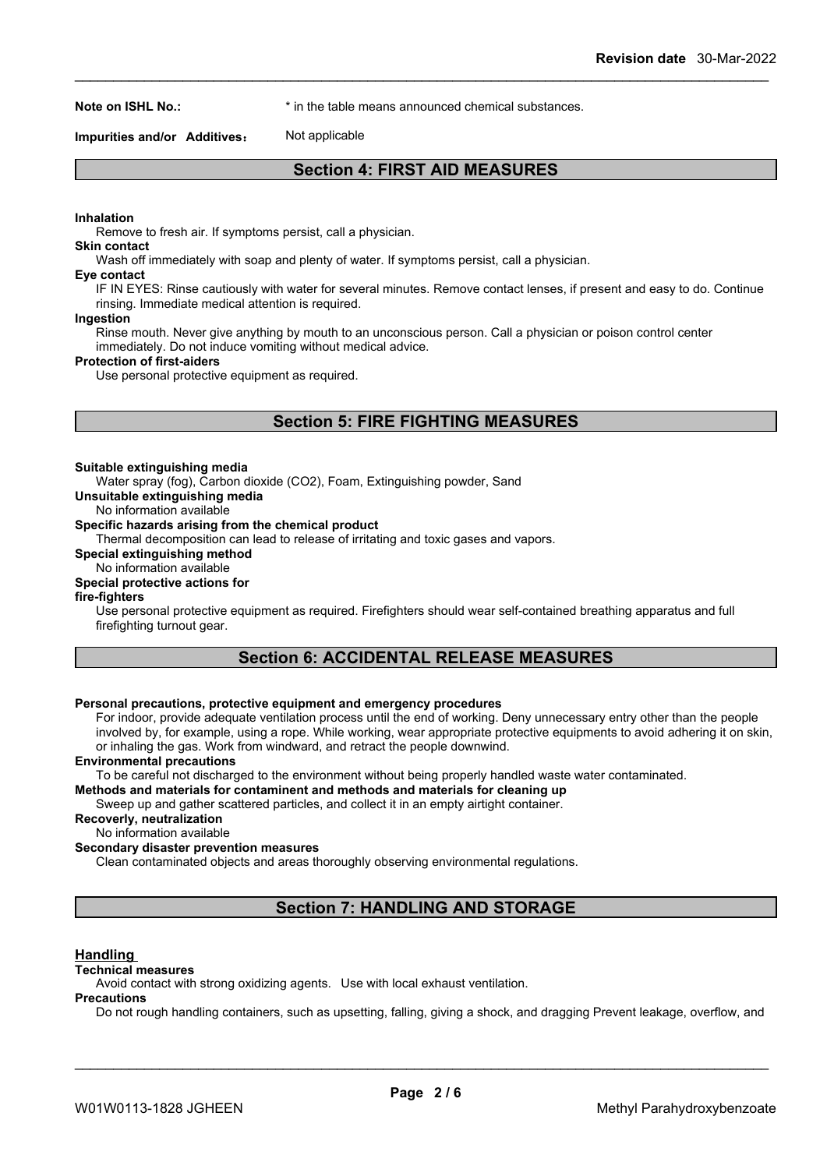**Note on ISHL No.:** \* in the table means announced chemical substances.

#### **Impurities and/or Additives:** Not applicable

### **Section 4: FIRST AID MEASURES**

#### **Inhalation**

Remove to fresh air. If symptoms persist, call a physician.

#### **Skin contact**

Wash off immediately with soap and plenty of water. If symptoms persist, call a physician.

#### **Eye contact**

IF IN EYES: Rinse cautiously with water for several minutes. Remove contact lenses, if present and easy to do. Continue rinsing. Immediate medical attention is required.

#### **Ingestion**

Rinse mouth. Never give anything by mouth to an unconscious person. Call a physician or poison control center immediately. Do not induce vomiting without medical advice.

#### **Protection of first-aiders**

Use personal protective equipment as required.

# **Section 5: FIRE FIGHTING MEASURES**

#### **Suitable extinguishing media**

Water spray (fog), Carbon dioxide (CO2), Foam, Extinguishing powder, Sand

**Unsuitable extinguishing media**

No information available

#### **Specific hazards arising from the chemical product**

Thermal decomposition can lead to release of irritating and toxic gases and vapors.

#### **Special extinguishing method**

No information available

# **Special protective actions for**

#### **fire-fighters**

Use personal protective equipment as required.Firefighters should wear self-contained breathing apparatus and full firefighting turnout gear.

## **Section 6: ACCIDENTAL RELEASE MEASURES**

#### **Personal precautions, protective equipment and emergency procedures**

For indoor, provide adequate ventilation process until the end of working. Deny unnecessary entry other than the people involved by, for example, using a rope. While working, wear appropriate protective equipments to avoid adhering it on skin, or inhaling the gas. Work from windward, and retract the people downwind.

#### **Environmental precautions**

To be careful not discharged to the environment without being properly handled waste water contaminated.

#### **Methods and materials for contaminent and methods and materials for cleaning up**

Sweep up and gather scattered particles, and collect it in an empty airtight container.

#### **Recoverly, neutralization**

No information available

#### **Secondary disaster prevention measures**

Clean contaminated objects and areas thoroughly observing environmental regulations.

# **Section 7: HANDLING AND STORAGE**

#### **Handling**

#### **Technical measures**

Avoid contact with strong oxidizing agents. Use with local exhaust ventilation.

#### **Precautions**

Do not rough handling containers, such as upsetting, falling, giving a shock, and dragging Prevent leakage, overflow, and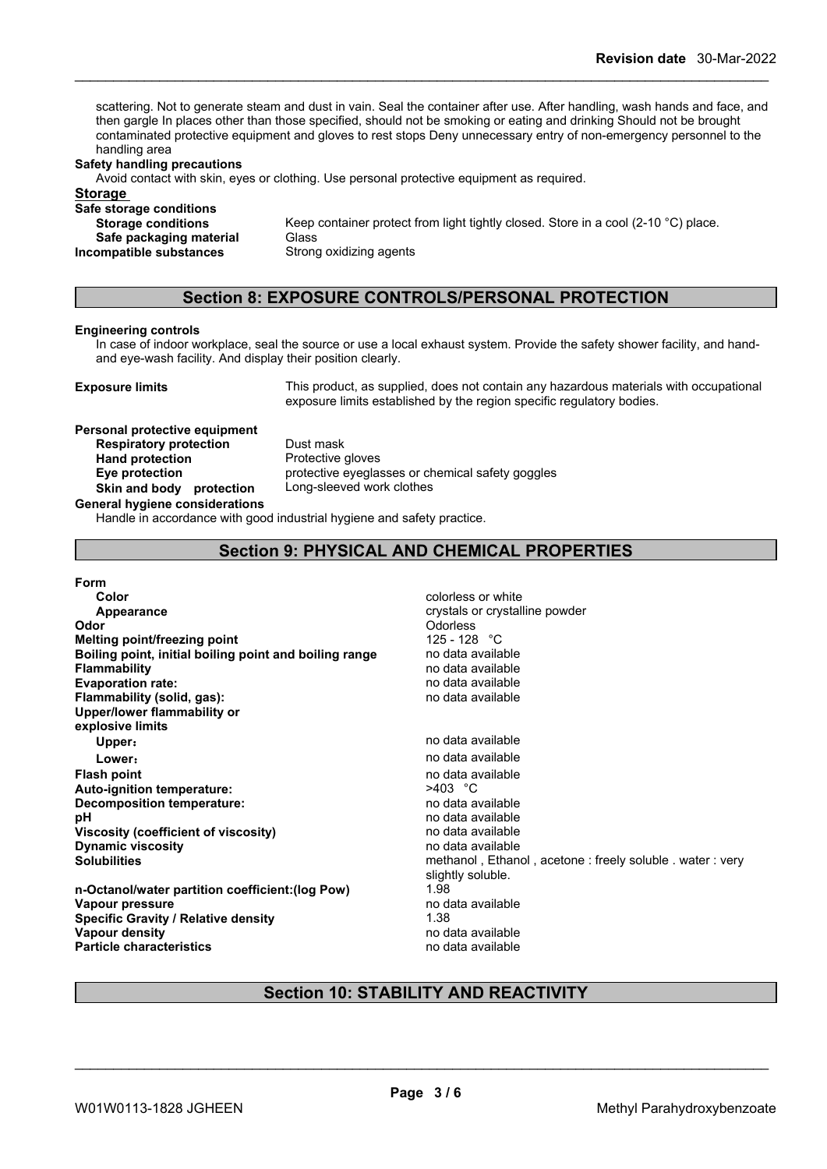scattering. Not to generate steam and dust in vain. Seal the container after use. After handling, wash hands and face, and then gargle In places other than those specified, should not be smoking or eating and drinking Should not be brought contaminated protective equipment and gloves to rest stops Deny unnecessary entry of non-emergency personnel to the handling area

#### **Safety handling precautions**

Avoid contact with skin, eyes or clothing. Use personal protective equipment as required.

#### **Storage**

**Safe storage conditions Safe packaging material** Glass **Incompatible substances** Strong oxidizing agents

**Storage conditions** Keep container protect from light tightly closed. Store in a cool (2-10 °C) place.

# **Section 8: EXPOSURE CONTROLS/PERSONAL PROTECTION**

#### **Engineering controls**

In case of indoor workplace, seal the source or use a local exhaust system. Provide the safety shower facility, and handand eye-wash facility. And display their position clearly.

**Exposure limits** This product, as supplied, does not contain any hazardous materials with occupational exposure limits established by the region specific regulatory bodies.

# **Personal protective equipment**

**Respiratory protection** Dust mask **Hand protection** Protective gloves **Skin and body protection** Long-sleeved work clothes

**Eye protection** protective eyeglasses or chemical safety goggles

# **General hygiene considerations**

Handle in accordance with good industrial hygiene and safety practice.

# **Section 9: PHYSICAL AND CHEMICAL PROPERTIES**

#### **Form**

| Color                                                  | colorless or white                         |
|--------------------------------------------------------|--------------------------------------------|
| Appearance                                             | crystals or crystalline powder             |
| Odor                                                   | <b>Odorless</b>                            |
| <b>Melting point/freezing point</b>                    | 125 - 128 $\degree$ C                      |
| Boiling point, initial boiling point and boiling range | no data available                          |
| <b>Flammability</b>                                    | no data available                          |
| <b>Evaporation rate:</b>                               | no data available                          |
| Flammability (solid, gas):                             | no data available                          |
| Upper/lower flammability or                            |                                            |
| explosive limits                                       |                                            |
| Upper:                                                 | no data available                          |
| Lower:                                                 | no data available                          |
| <b>Flash point</b>                                     | no data available                          |
| Auto-ignition temperature:                             | $>403$ °C                                  |
| Decomposition temperature:                             | no data available                          |
| рH                                                     | no data available                          |
| Viscosity (coefficient of viscosity)                   | no data available                          |
| <b>Dynamic viscosity</b>                               | no data available                          |
| <b>Solubilities</b>                                    | methanol, Ethanol, acetone: freely soluble |
|                                                        | slightly soluble.                          |
| n-Octanol/water partition coefficient: (log Pow)       | 1.98                                       |
| Vapour pressure                                        | no data available                          |
| Specific Gravity / Relative density                    | 1.38                                       |
| Vapour density                                         | no data available                          |
| <b>Particle characteristics</b>                        | no data available                          |

# **Section 10: STABILITY AND REACTIVITY**

\_\_\_\_\_\_\_\_\_\_\_\_\_\_\_\_\_\_\_\_\_\_\_\_\_\_\_\_\_\_\_\_\_\_\_\_\_\_\_\_\_\_\_\_\_\_\_\_\_\_\_\_\_\_\_\_\_\_\_\_\_\_\_\_\_\_\_\_\_\_\_\_\_\_\_\_\_\_\_\_\_\_\_\_\_\_\_\_\_\_

acetone : freely soluble . water : very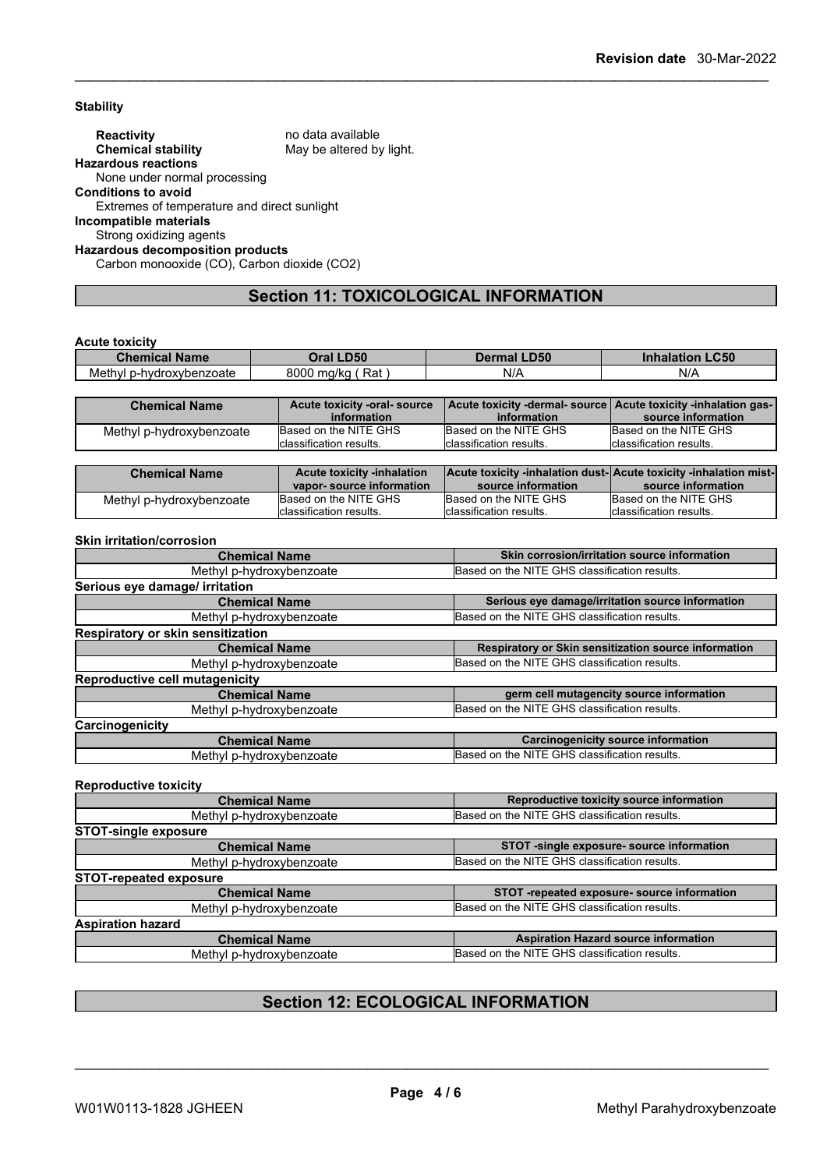### **Stability**

# **Section 11: TOXICOLOGICAL INFORMATION**

**Acute toxicity**

| <b>Chemical N</b><br><b>Name</b>                 | I <sub>DE</sub><br>`∽          | LD50<br>Deri<br>шк | CFA<br>.uov |
|--------------------------------------------------|--------------------------------|--------------------|-------------|
| <b>hul</b><br>benzoate<br>hvdr<br>ּ ייראי<br>men | Rat<br>8000<br>maH/m<br>Tiu/Nu | N/A<br>NI.         | N/A         |
|                                                  |                                |                    |             |

| <b>Chemical Name</b>     | Acute toxicity -oral- source<br>information | Acute toxicity -dermal- source   Acute toxicity -inhalation gas-<br>information | source information       |
|--------------------------|---------------------------------------------|---------------------------------------------------------------------------------|--------------------------|
| Methyl p-hydroxybenzoate | Based on the NITE GHS                       | Based on the NITE GHS                                                           | Based on the NITE GHS    |
|                          | Iclassification results.                    | Iclassification results.                                                        | Iclassification results. |

| <b>Chemical Name</b>     | Acute toxicity -inhalation<br>vapor-source information | <b>Acute toxicity -inhalation dust-Acute toxicity -inhalation mist-</b><br>source information | source information       |
|--------------------------|--------------------------------------------------------|-----------------------------------------------------------------------------------------------|--------------------------|
| Methyl p-hydroxybenzoate | Based on the NITE GHS                                  | Based on the NITE GHS                                                                         | Based on the NITE GHS    |
|                          | Iclassification results.                               | Iclassification results.                                                                      | Iclassification results. |

#### **Skin irritation/corrosion**

| <b>Chemical Name</b>                  | Skin corrosion/irritation source information         |
|---------------------------------------|------------------------------------------------------|
| Methyl p-hydroxybenzoate              | Based on the NITE GHS classification results.        |
| Serious eye damage/ irritation        |                                                      |
| <b>Chemical Name</b>                  | Serious eye damage/irritation source information     |
| Methyl p-hydroxybenzoate              | Based on the NITE GHS classification results.        |
| Respiratory or skin sensitization     |                                                      |
| <b>Chemical Name</b>                  | Respiratory or Skin sensitization source information |
| Methyl p-hydroxybenzoate              | Based on the NITE GHS classification results.        |
| <b>Reproductive cell mutagenicity</b> |                                                      |
| <b>Chemical Name</b>                  | germ cell mutagencity source information             |
| Methyl p-hydroxybenzoate              | Based on the NITE GHS classification results.        |
| Carcinogenicity                       |                                                      |
| <b>Chemical Name</b>                  | <b>Carcinogenicity source information</b>            |
| Methyl p-hydroxybenzoate              | Based on the NITE GHS classification results.        |

| <b>Reproductive toxicity</b>  |                                               |  |
|-------------------------------|-----------------------------------------------|--|
| <b>Chemical Name</b>          | Reproductive toxicity source information      |  |
| Methyl p-hydroxybenzoate      | Based on the NITE GHS classification results. |  |
| <b>STOT-single exposure</b>   |                                               |  |
| <b>Chemical Name</b>          | STOT -single exposure- source information     |  |
| Methyl p-hydroxybenzoate      | Based on the NITE GHS classification results. |  |
| <b>STOT-repeated exposure</b> |                                               |  |
| <b>Chemical Name</b>          | STOT -repeated exposure- source information   |  |
| Methyl p-hydroxybenzoate      | Based on the NITE GHS classification results. |  |
| <b>Aspiration hazard</b>      |                                               |  |
| <b>Chemical Name</b>          | <b>Aspiration Hazard source information</b>   |  |
| Methyl p-hydroxybenzoate      | Based on the NITE GHS classification results. |  |

# **Section 12: ECOLOGICAL INFORMATION**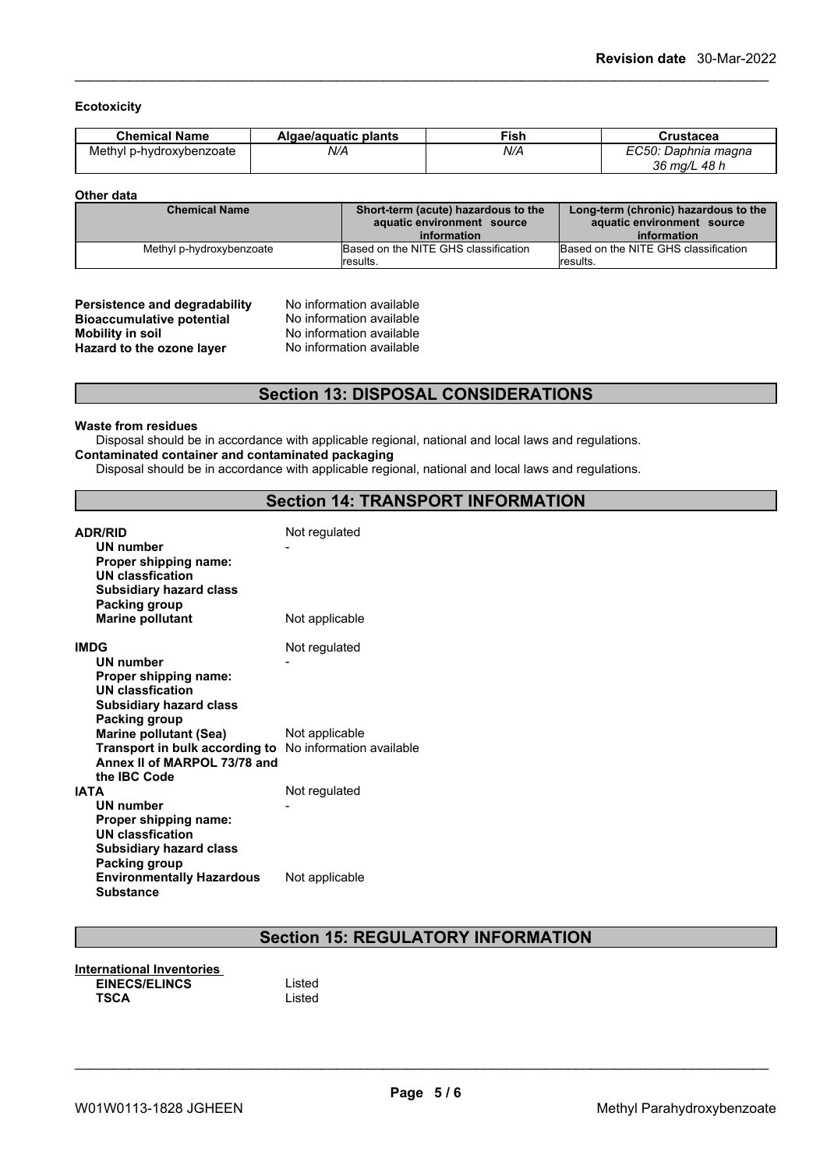**Ecotoxicity**

| <b>Chemical Name</b>     | Algae/aguatic plants | Fish | Crustacea           |
|--------------------------|----------------------|------|---------------------|
| Methyl p-hydroxybenzoate | N/A                  | N/A  | EC50: Daphnia magna |
|                          |                      |      | 36 mg/L<br>. 48 h   |

#### **Other data**

| <b>Chemical Name</b>     | Short-term (acute) hazardous to the<br>aquatic environment source<br>information | Long-term (chronic) hazardous to the<br>aquatic environment source<br>information |
|--------------------------|----------------------------------------------------------------------------------|-----------------------------------------------------------------------------------|
| Methyl p-hydroxybenzoate | Based on the NITE GHS classification<br>lresults.                                | Based on the NITE GHS classification<br>results.                                  |

| Persistence and degradability    | No information available |
|----------------------------------|--------------------------|
| <b>Bioaccumulative potential</b> | No information available |
| Mobility in soil                 | No information available |
| Hazard to the ozone layer        | No information available |

# **Section 13: DISPOSAL CONSIDERATIONS**

#### **Waste from residues**

Disposal should be in accordance with applicable regional, national and local laws and regulations. **Contaminated container and contaminated packaging**

Disposal should be in accordance with applicable regional, national and local laws and regulations.

# **Section 14: TRANSPORT INFORMATION**

| <b>ADR/RID</b><br><b>UN number</b><br>Proper shipping name:<br><b>UN classfication</b><br><b>Subsidiary hazard class</b><br>Packing group | Not regulated  |
|-------------------------------------------------------------------------------------------------------------------------------------------|----------------|
| <b>Marine pollutant</b>                                                                                                                   | Not applicable |
| <b>IMDG</b><br>UN number<br>Proper shipping name:<br><b>UN classfication</b><br><b>Subsidiary hazard class</b><br>Packing group           | Not regulated  |
| <b>Marine pollutant (Sea)</b><br>Transport in bulk according to No information available<br>Annex II of MARPOL 73/78 and<br>the IBC Code  | Not applicable |
| <b>IATA</b><br>UN number<br>Proper shipping name:<br><b>UN classfication</b><br><b>Subsidiary hazard class</b><br><b>Packing group</b>    | Not regulated  |
| <b>Environmentally Hazardous</b><br><b>Substance</b>                                                                                      | Not applicable |

# **Section 15: REGULATORY INFORMATION**

**International Inventories EINECS/ELINCS** Listed **TSCA** Listed